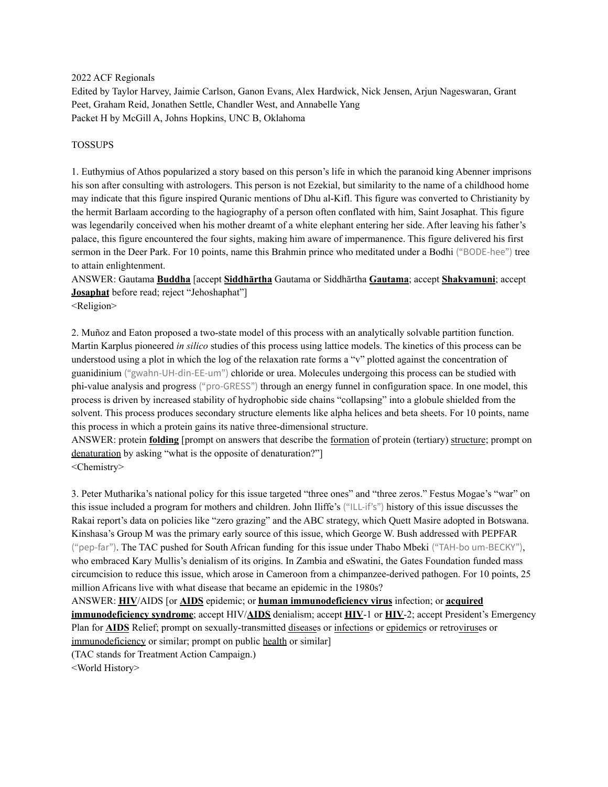2022 ACF Regionals

Edited by Taylor Harvey, Jaimie Carlson, Ganon Evans, Alex Hardwick, Nick Jensen, Arjun Nageswaran, Grant Peet, Graham Reid, Jonathen Settle, Chandler West, and Annabelle Yang Packet H by McGill A, Johns Hopkins, UNC B, Oklahoma

#### TOSSUPS

1. Euthymius of Athos popularized a story based on this person's life in which the paranoid king Abenner imprisons his son after consulting with astrologers. This person is not Ezekial, but similarity to the name of a childhood home may indicate that this figure inspired Quranic mentions of Dhu al-Kifl. This figure was converted to Christianity by the hermit Barlaam according to the hagiography of a person often conflated with him, Saint Josaphat. This figure was legendarily conceived when his mother dreamt of a white elephant entering her side. After leaving his father's palace, this figure encountered the four sights, making him aware of impermanence. This figure delivered his first sermon in the Deer Park. For 10 points, name this Brahmin prince who meditated under a Bodhi ("BODE-hee") tree to attain enlightenment.

ANSWER: Gautama **Buddha** [accept **Siddhārtha** Gautama or Siddhārtha **Gautama**; accept **Shakyamuni**; accept **Josaphat** before read; reject "Jehoshaphat"]

<Religion>

2. Muñoz and Eaton proposed a two-state model of this process with an analytically solvable partition function. Martin Karplus pioneered *in silico* studies of this process using lattice models. The kinetics of this process can be understood using a plot in which the log of the relaxation rate forms a "v" plotted against the concentration of guanidinium ("gwahn-UH-din-EE-um") chloride or urea. Molecules undergoing this process can be studied with phi-value analysis and progress ("pro-GRESS") through an energy funnel in configuration space. In one model, this process is driven by increased stability of hydrophobic side chains "collapsing" into a globule shielded from the solvent. This process produces secondary structure elements like alpha helices and beta sheets. For 10 points, name this process in which a protein gains its native three-dimensional structure.

ANSWER: protein **folding** [prompt on answers that describe the formation of protein (tertiary) structure; prompt on denaturation by asking "what is the opposite of denaturation?"]

<Chemistry>

3. Peter Mutharika's national policy for this issue targeted "three ones" and "three zeros." Festus Mogae's "war" on this issue included a program for mothers and children. John Iliffe's ("ILL-if's") history of this issue discusses the Rakai report's data on policies like "zero grazing" and the ABC strategy, which Quett Masire adopted in Botswana. Kinshasa's Group M was the primary early source of this issue, which George W. Bush addressed with PEPFAR ("pep-far"). The TAC pushed for South African funding for this issue under Thabo Mbeki ("TAH-bo um-BECKY"), who embraced Kary Mullis's denialism of its origins. In Zambia and eSwatini, the Gates Foundation funded mass circumcision to reduce this issue, which arose in Cameroon from a chimpanzee-derived pathogen. For 10 points, 25 million Africans live with what disease that became an epidemic in the 1980s?

ANSWER: **HIV**/AIDS [or **AIDS** epidemic; or **human immunodeficiency virus** infection; or **acquired immunodeficiency syndrome**; accept HIV/**AIDS** denialism; accept **HIV**-1 or **HIV**-2; accept President's Emergency Plan for **AIDS** Relief; prompt on sexually-transmitted diseases or infections or epidemics or retroviruses or immunodeficiency or similar; prompt on public health or similar] (TAC stands for Treatment Action Campaign.)

<World History>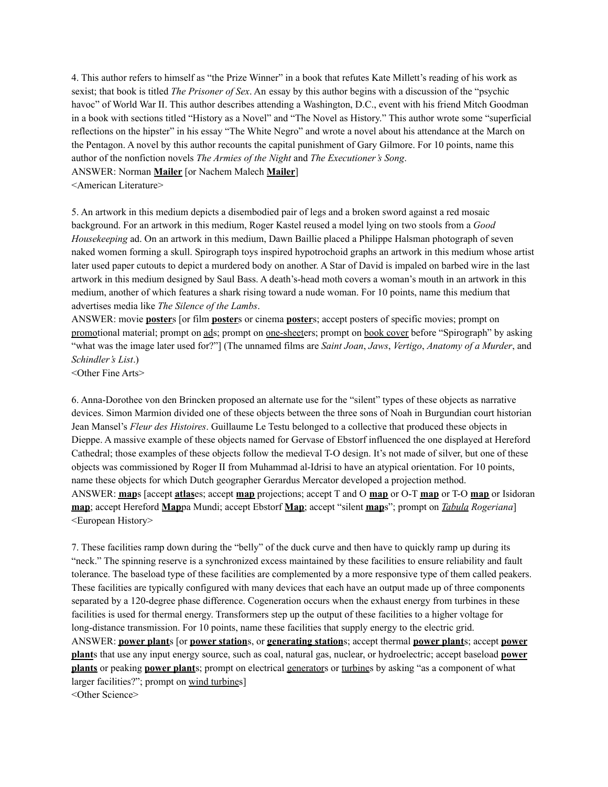4. This author refers to himself as "the Prize Winner" in a book that refutes Kate Millett's reading of his work as sexist; that book is titled *The Prisoner of Sex*. An essay by this author begins with a discussion of the "psychic havoc" of World War II. This author describes attending a Washington, D.C., event with his friend Mitch Goodman in a book with sections titled "History as a Novel" and "The Novel as History." This author wrote some "superficial reflections on the hipster" in his essay "The White Negro" and wrote a novel about his attendance at the March on the Pentagon. A novel by this author recounts the capital punishment of Gary Gilmore. For 10 points, name this author of the nonfiction novels *The Armies of the Night* and *The Executioner's Song*.

ANSWER: Norman **Mailer** [or Nachem Malech **Mailer**]

<American Literature>

5. An artwork in this medium depicts a disembodied pair of legs and a broken sword against a red mosaic background. For an artwork in this medium, Roger Kastel reused a model lying on two stools from a *Good Housekeeping* ad. On an artwork in this medium, Dawn Baillie placed a Philippe Halsman photograph of seven naked women forming a skull. Spirograph toys inspired hypotrochoid graphs an artwork in this medium whose artist later used paper cutouts to depict a murdered body on another. A Star of David is impaled on barbed wire in the last artwork in this medium designed by Saul Bass. A death's-head moth covers a woman's mouth in an artwork in this medium, another of which features a shark rising toward a nude woman. For 10 points, name this medium that advertises media like *The Silence of the Lambs*.

ANSWER: movie **poster**s [or film **poster**s or cinema **poster**s; accept posters of specific movies; prompt on promotional material; prompt on ads; prompt on one-sheeters; prompt on book cover before "Spirograph" by asking "what was the image later used for?"] (The unnamed films are *Saint Joan*, *Jaws*, *Vertigo*, *Anatomy of a Murder*, and *Schindler's List*.)

<Other Fine Arts>

6. Anna-Dorothee von den Brincken proposed an alternate use for the "silent" types of these objects as narrative devices. Simon Marmion divided one of these objects between the three sons of Noah in Burgundian court historian Jean Mansel's *Fleur des Histoires*. Guillaume Le Testu belonged to a collective that produced these objects in Dieppe. A massive example of these objects named for Gervase of Ebstorf influenced the one displayed at Hereford Cathedral; those examples of these objects follow the medieval T-O design. It's not made of silver, but one of these objects was commissioned by Roger II from Muhammad al-Idrisi to have an atypical orientation. For 10 points, name these objects for which Dutch geographer Gerardus Mercator developed a projection method. ANSWER: **map**s [accept **atlas**es; accept **map** projections; accept T and O **map** or O-T **map** or T-O **map** or Isidoran **map**; accept Hereford **Map**pa Mundi; accept Ebstorf **Map**; accept "silent **map**s"; prompt on *Tabula Rogeriana*] <European History>

7. These facilities ramp down during the "belly" of the duck curve and then have to quickly ramp up during its "neck." The spinning reserve is a synchronized excess maintained by these facilities to ensure reliability and fault tolerance. The baseload type of these facilities are complemented by a more responsive type of them called peakers. These facilities are typically configured with many devices that each have an output made up of three components separated by a 120-degree phase difference. Cogeneration occurs when the exhaust energy from turbines in these facilities is used for thermal energy. Transformers step up the output of these facilities to a higher voltage for long-distance transmission. For 10 points, name these facilities that supply energy to the electric grid. ANSWER: **power plant**s [or **power station**s, or **generating station**s; accept thermal **power plant**s; accept **power plant**s that use any input energy source, such as coal, natural gas, nuclear, or hydroelectric; accept baseload **power plants** or peaking **power plant**s; prompt on electrical generators or turbines by asking "as a component of what larger facilities?"; prompt on wind turbines]

<Other Science>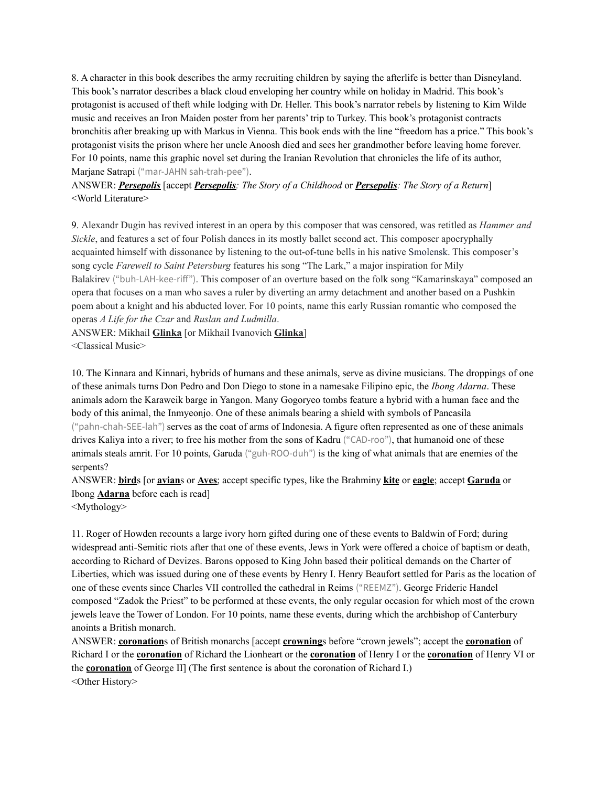8. A character in this book describes the army recruiting children by saying the afterlife is better than Disneyland. This book's narrator describes a black cloud enveloping her country while on holiday in Madrid. This book's protagonist is accused of theft while lodging with Dr. Heller. This book's narrator rebels by listening to Kim Wilde music and receives an Iron Maiden poster from her parents' trip to Turkey. This book's protagonist contracts bronchitis after breaking up with Markus in Vienna. This book ends with the line "freedom has a price." This book's protagonist visits the prison where her uncle Anoosh died and sees her grandmother before leaving home forever. For 10 points, name this graphic novel set during the Iranian Revolution that chronicles the life of its author, Marjane Satrapi ("mar-JAHN sah-trah-pee").

ANSWER: *Persepolis* [accept *Persepolis: The Story of a Childhood* or *Persepolis: The Story of a Return*] <World Literature>

9. Alexandr Dugin has revived interest in an opera by this composer that was censored, was retitled as *Hammer and Sickle*, and features a set of four Polish dances in its mostly ballet second act. This composer apocryphally acquainted himself with dissonance by listening to the out-of-tune bells in his native Smolensk. This composer's song cycle *Farewell to Saint Petersburg* features his song "The Lark," a major inspiration for Mily Balakirev ("buh-LAH-kee-riff"). This composer of an overture based on the folk song "Kamarinskaya" composed an opera that focuses on a man who saves a ruler by diverting an army detachment and another based on a Pushkin poem about a knight and his abducted lover. For 10 points, name this early Russian romantic who composed the operas *A Life for the Czar* and *Ruslan and Ludmilla*.

ANSWER: Mikhail **Glinka** [or Mikhail Ivanovich **Glinka**] <Classical Music>

10. The Kinnara and Kinnari, hybrids of humans and these animals, serve as divine musicians. The droppings of one of these animals turns Don Pedro and Don Diego to stone in a namesake Filipino epic, the *Ibong Adarna*. These animals adorn the Karaweik barge in Yangon. Many Gogoryeo tombs feature a hybrid with a human face and the body of this animal, the Inmyeonjo. One of these animals bearing a shield with symbols of Pancasila ("pahn-chah-SEE-lah") serves as the coat of arms of Indonesia. A figure often represented as one of these animals drives Kaliya into a river; to free his mother from the sons of Kadru ("CAD-roo"), that humanoid one of these animals steals amrit. For 10 points, Garuda ("guh-ROO-duh") is the king of what animals that are enemies of the serpents?

ANSWER: **bird**s [or **avian**s or **Aves**; accept specific types, like the Brahminy **kite** or **eagle**; accept **Garuda** or Ibong **Adarna** before each is read]

<Mythology>

11. Roger of Howden recounts a large ivory horn gifted during one of these events to Baldwin of Ford; during widespread anti-Semitic riots after that one of these events, Jews in York were offered a choice of baptism or death, according to Richard of Devizes. Barons opposed to King John based their political demands on the Charter of Liberties, which was issued during one of these events by Henry I. Henry Beaufort settled for Paris as the location of one of these events since Charles VII controlled the cathedral in Reims ("REEMZ"). George Frideric Handel composed "Zadok the Priest" to be performed at these events, the only regular occasion for which most of the crown jewels leave the Tower of London. For 10 points, name these events, during which the archbishop of Canterbury anoints a British monarch.

ANSWER: **coronation**s of British monarchs [accept **crowning**s before "crown jewels"; accept the **coronation** of Richard I or the **coronation** of Richard the Lionheart or the **coronation** of Henry I or the **coronation** of Henry VI or the **coronation** of George II] (The first sentence is about the coronation of Richard I.) <Other History>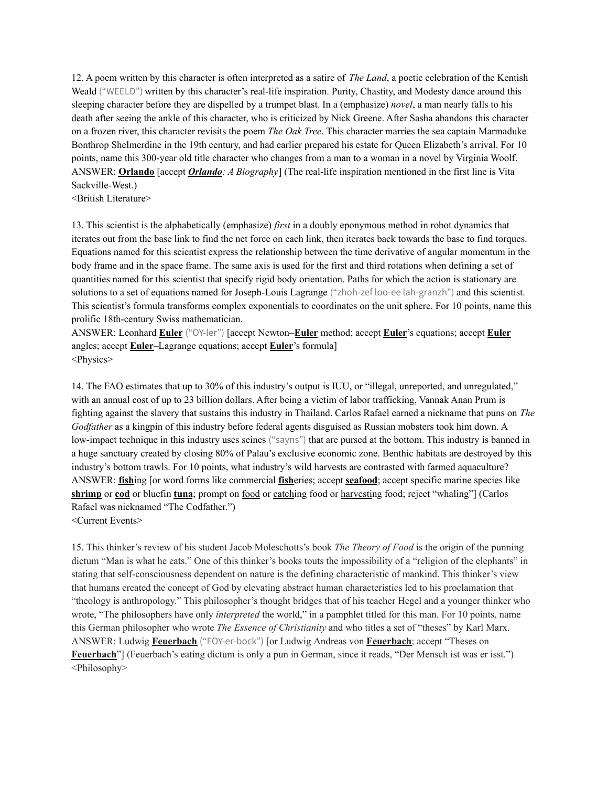12. A poem written by this character is often interpreted as a satire of *The Land*, a poetic celebration of the Kentish Weald ("WEELD") written by this character's real-life inspiration. Purity, Chastity, and Modesty dance around this sleeping character before they are dispelled by a trumpet blast. In a (emphasize) *novel*, a man nearly falls to his death after seeing the ankle of this character, who is criticized by Nick Greene. After Sasha abandons this character on a frozen river, this character revisits the poem *The Oak Tree*. This character marries the sea captain Marmaduke Bonthrop Shelmerdine in the 19th century, and had earlier prepared his estate for Queen Elizabeth's arrival. For 10 points, name this 300-year old title character who changes from a man to a woman in a novel by Virginia Woolf. ANSWER: **Orlando** [accept *Orlando: A Biography*] (The real-life inspiration mentioned in the first line is Vita Sackville-West.)

<British Literature>

13. This scientist is the alphabetically (emphasize) *first* in a doubly eponymous method in robot dynamics that iterates out from the base link to find the net force on each link, then iterates back towards the base to find torques. Equations named for this scientist express the relationship between the time derivative of angular momentum in the body frame and in the space frame. The same axis is used for the first and third rotations when defining a set of quantities named for this scientist that specify rigid body orientation. Paths for which the action is stationary are solutions to a set of equations named for Joseph-Louis Lagrange ("zhoh-zef loo-ee lah-granzh") and this scientist. This scientist's formula transforms complex exponentials to coordinates on the unit sphere. For 10 points, name this prolific 18th-century Swiss mathematician.

ANSWER: Leonhard **Euler** ("OY-ler") [accept Newton–**Euler** method; accept **Euler**'s equations; accept **Euler** angles; accept **Euler**–Lagrange equations; accept **Euler**'s formula] <Physics>

14. The FAO estimates that up to 30% of this industry's output is IUU, or "illegal, unreported, and unregulated," with an annual cost of up to 23 billion dollars. After being a victim of labor trafficking, Vannak Anan Prum is fighting against the slavery that sustains this industry in Thailand. Carlos Rafael earned a nickname that puns on *The Godfather* as a kingpin of this industry before federal agents disguised as Russian mobsters took him down. A low-impact technique in this industry uses seines ("sayns") that are pursed at the bottom. This industry is banned in a huge sanctuary created by closing 80% of Palau's exclusive economic zone. Benthic habitats are destroyed by this industry's bottom trawls. For 10 points, what industry's wild harvests are contrasted with farmed aquaculture? ANSWER: **fish**ing [or word forms like commercial **fish**eries; accept **seafood**; accept specific marine species like **shrimp** or **cod** or bluefin **tuna**; prompt on food or catching food or harvesting food; reject "whaling"] (Carlos Rafael was nicknamed "The Codfather.") <Current Events>

15. This thinker's review of his student Jacob Moleschotts's book *The Theory of Food* is the origin of the punning dictum "Man is what he eats." One of this thinker's books touts the impossibility of a "religion of the elephants" in stating that self-consciousness dependent on nature is the defining characteristic of mankind. This thinker's view that humans created the concept of God by elevating abstract human characteristics led to his proclamation that "theology is anthropology." This philosopher's thought bridges that of his teacher Hegel and a younger thinker who wrote, "The philosophers have only *interpreted* the world," in a pamphlet titled for this man. For 10 points, name this German philosopher who wrote *The Essence of Christianity* and who titles a set of "theses" by Karl Marx. ANSWER: Ludwig **Feuerbach** ("FOY-er-bock") [or Ludwig Andreas von **Feuerbach**; accept "Theses on **Feuerbach**"] (Feuerbach's eating dictum is only a pun in German, since it reads, "Der Mensch ist was er isst.") <Philosophy>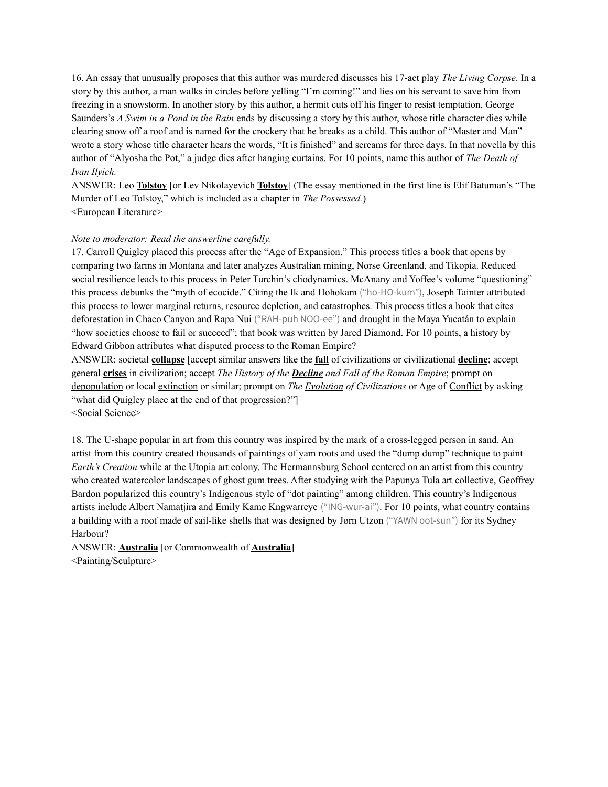16. An essay that unusually proposes that this author was murdered discusses his 17-act play *The Living Corpse*. In a story by this author, a man walks in circles before yelling "I'm coming!" and lies on his servant to save him from freezing in a snowstorm. In another story by this author, a hermit cuts off his finger to resist temptation. George Saunders's *A Swim in a Pond in the Rain* ends by discussing a story by this author, whose title character dies while clearing snow off a roof and is named for the crockery that he breaks as a child. This author of "Master and Man" wrote a story whose title character hears the words, "It is finished" and screams for three days. In that novella by this author of "Alyosha the Pot," a judge dies after hanging curtains. For 10 points, name this author of *The Death of Ivan Ilyich.*

ANSWER: Leo **Tolstoy** [or Lev Nikolayevich **Tolstoy**] (The essay mentioned in the first line is Elif Batuman's "The Murder of Leo Tolstoy," which is included as a chapter in *The Possessed.*) <European Literature>

#### *Note to moderator: Read the answerline carefully.*

17. Carroll Quigley placed this process after the "Age of Expansion." This process titles a book that opens by comparing two farms in Montana and later analyzes Australian mining, Norse Greenland, and Tikopia. Reduced social resilience leads to this process in Peter Turchin's cliodynamics. McAnany and Yoffee's volume "questioning" this process debunks the "myth of ecocide." Citing the Ik and Hohokam ("ho-HO-kum"), Joseph Tainter attributed this process to lower marginal returns, resource depletion, and catastrophes. This process titles a book that cites deforestation in Chaco Canyon and Rapa Nui ("RAH-puh NOO-ee") and drought in the Maya Yucatán to explain "how societies choose to fail or succeed"; that book was written by Jared Diamond. For 10 points, a history by Edward Gibbon attributes what disputed process to the Roman Empire?

ANSWER: societal **collapse** [accept similar answers like the **fall** of civilizations or civilizational **decline**; accept general **crises** in civilization; accept *The History of the Decline and Fall of the Roman Empire*; prompt on depopulation or local extinction or similar; prompt on *The Evolution of Civilizations* or Age of Conflict by asking "what did Quigley place at the end of that progression?" <Social Science>

18. The U-shape popular in art from this country was inspired by the mark of a cross-legged person in sand. An artist from this country created thousands of paintings of yam roots and used the "dump dump" technique to paint *Earth's Creation* while at the Utopia art colony. The Hermannsburg School centered on an artist from this country who created watercolor landscapes of ghost gum trees. After studying with the Papunya Tula art collective, Geoffrey Bardon popularized this country's Indigenous style of "dot painting" among children. This country's Indigenous artists include Albert Namatjira and Emily Kame Kngwarreye ("ING-wur-ai"). For 10 points, what country contains a building with a roof made of sail-like shells that was designed by Jørn Utzon ("YAWN oot-sun") for its Sydney Harbour?

ANSWER: **Australia** [or Commonwealth of **Australia**] <Painting/Sculpture>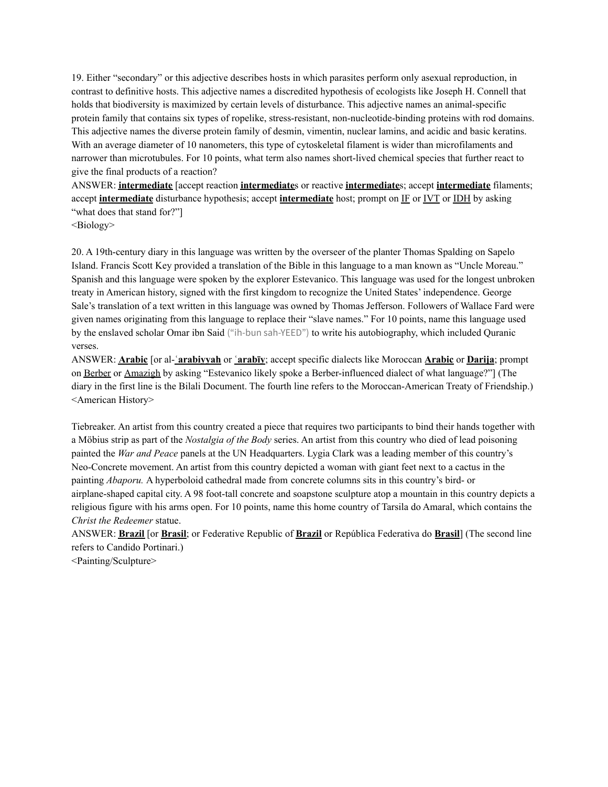19. Either "secondary" or this adjective describes hosts in which parasites perform only asexual reproduction, in contrast to definitive hosts. This adjective names a discredited hypothesis of ecologists like Joseph H. Connell that holds that biodiversity is maximized by certain levels of disturbance. This adjective names an animal-specific protein family that contains six types of ropelike, stress-resistant, non-nucleotide-binding proteins with rod domains. This adjective names the diverse protein family of desmin, vimentin, nuclear lamins, and acidic and basic keratins. With an average diameter of 10 nanometers, this type of cytoskeletal filament is wider than microfilaments and narrower than microtubules. For 10 points, what term also names short-lived chemical species that further react to give the final products of a reaction?

ANSWER: **intermediate** [accept reaction **intermediate**s or reactive **intermediate**s; accept **intermediate** filaments; accept **intermediate** disturbance hypothesis; accept **intermediate** host; prompt on IF or IVT or IDH by asking "what does that stand for?"]

<Biology>

20. A 19th-century diary in this language was written by the overseer of the planter Thomas Spalding on Sapelo Island. Francis Scott Key provided a translation of the Bible in this language to a man known as "Uncle Moreau." Spanish and this language were spoken by the explorer Estevanico. This language was used for the longest unbroken treaty in American history, signed with the first kingdom to recognize the United States' independence. George Sale's translation of a text written in this language was owned by Thomas Jefferson. Followers of Wallace Fard were given names originating from this language to replace their "slave names." For 10 points, name this language used by the enslaved scholar Omar ibn Said ("ih-bun sah-YEED") to write his autobiography, which included Quranic verses.

ANSWER: **Arabic** [or al-**ʿarabiyyah** or **ʿarabīy**; accept specific dialects like Moroccan **Arabic** or **Darija**; prompt on Berber or Amazigh by asking "Estevanico likely spoke a Berber-influenced dialect of what language?"] (The diary in the first line is the Bilali Document. The fourth line refers to the Moroccan-American Treaty of Friendship.) <American History>

Tiebreaker. An artist from this country created a piece that requires two participants to bind their hands together with a Möbius strip as part of the *Nostalgia of the Body* series. An artist from this country who died of lead poisoning painted the *War and Peace* panels at the UN Headquarters. Lygia Clark was a leading member of this country's Neo-Concrete movement. An artist from this country depicted a woman with giant feet next to a cactus in the painting *Abaporu.* A hyperboloid cathedral made from concrete columns sits in this country's bird- or airplane-shaped capital city. A 98 foot-tall concrete and soapstone sculpture atop a mountain in this country depicts a religious figure with his arms open. For 10 points, name this home country of Tarsila do Amaral, which contains the *Christ the Redeemer* statue.

ANSWER: **Brazil** [or **Brasil**; or Federative Republic of **Brazil** or República Federativa do **Brasil**] (The second line refers to Candido Portinari.)

<Painting/Sculpture>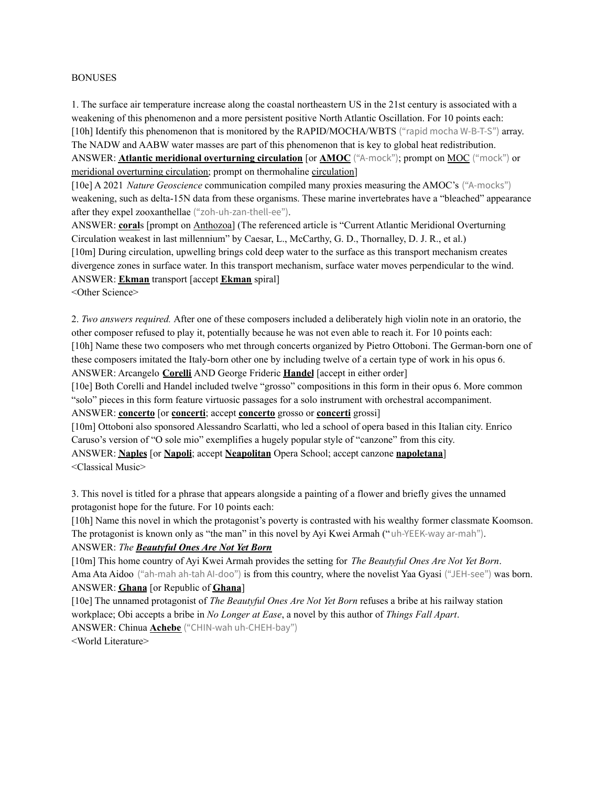#### BONUSES

1. The surface air temperature increase along the coastal northeastern US in the 21st century is associated with a weakening of this phenomenon and a more persistent positive North Atlantic Oscillation. For 10 points each: [10h] Identify this phenomenon that is monitored by the RAPID/MOCHA/WBTS ("rapid mocha W-B-T-S") array. The NADW and AABW water masses are part of this phenomenon that is key to global heat redistribution. ANSWER: **Atlantic meridional overturning circulation** [or **AMOC** ("A-mock"); prompt on MOC ("mock") or meridional overturning circulation; prompt on thermohaline circulation]

[10e] A 2021 *Nature Geoscience* communication compiled many proxies measuring the AMOC's ("A-mocks") weakening, such as delta-15N data from these organisms. These marine invertebrates have a "bleached" appearance after they expel zooxanthellae ("zoh-uh-zan-thell-ee").

ANSWER: **coral**s [prompt on Anthozoa] (The referenced article is "Current Atlantic Meridional Overturning Circulation weakest in last millennium" by Caesar, L., McCarthy, G. D., Thornalley, D. J. R., et al.) [10m] During circulation, upwelling brings cold deep water to the surface as this transport mechanism creates divergence zones in surface water. In this transport mechanism, surface water moves perpendicular to the wind. ANSWER: **Ekman** transport [accept **Ekman** spiral]

<Other Science>

2. *Two answers required.* After one of these composers included a deliberately high violin note in an oratorio, the other composer refused to play it, potentially because he was not even able to reach it. For 10 points each: [10h] Name these two composers who met through concerts organized by Pietro Ottoboni. The German-born one of these composers imitated the Italy-born other one by including twelve of a certain type of work in his opus 6. ANSWER: Arcangelo **Corelli** AND George Frideric **Handel** [accept in either order]

[10e] Both Corelli and Handel included twelve "grosso" compositions in this form in their opus 6. More common "solo" pieces in this form feature virtuosic passages for a solo instrument with orchestral accompaniment.

ANSWER: **concerto** [or **concerti**; accept **concerto** grosso or **concerti** grossi]

[10m] Ottoboni also sponsored Alessandro Scarlatti, who led a school of opera based in this Italian city. Enrico Caruso's version of "O sole mio" exemplifies a hugely popular style of "canzone" from this city. ANSWER: **Naples** [or **Napoli**; accept **Neapolitan** Opera School; accept canzone **napoletana**]

<Classical Music>

3. This novel is titled for a phrase that appears alongside a painting of a flower and briefly gives the unnamed protagonist hope for the future. For 10 points each:

[10h] Name this novel in which the protagonist's poverty is contrasted with his wealthy former classmate Koomson. The protagonist is known only as "the man" in this novel by Ayi Kwei Armah ("uh-YEEK-way ar-mah").

```
ANSWER: The Beautyful Ones Are Not Yet Born
```
[10m] This home country of Ayi Kwei Armah provides the setting for *The Beautyful Ones Are Not Yet Born*. Ama Ata Aidoo ("ah-mah ah-tah AI-doo") is from this country, where the novelist Yaa Gyasi ("JEH-see") was born. ANSWER: **Ghana** [or Republic of **Ghana**]

[10e] The unnamed protagonist of *The Beautyful Ones Are Not Yet Born* refuses a bribe at his railway station workplace; Obi accepts a bribe in *No Longer at Ease*, a novel by this author of *Things Fall Apart*. ANSWER: Chinua **Achebe** ("CHIN-wah uh-CHEH-bay") <World Literature>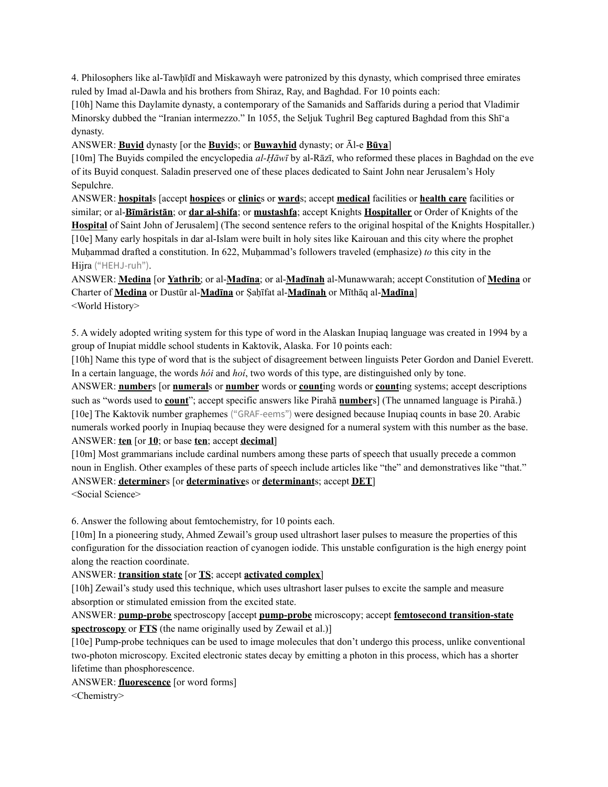4. Philosophers like al-Tawḥīdī and Miskawayh were patronized by this dynasty, which comprised three emirates ruled by Imad al-Dawla and his brothers from Shiraz, Ray, and Baghdad. For 10 points each:

[10h] Name this Daylamite dynasty, a contemporary of the Samanids and Saffarids during a period that Vladimir Minorsky dubbed the "Iranian intermezzo." In 1055, the Seljuk Tughril Beg captured Baghdad from this Shī'a dynasty.

ANSWER: **Buyid** dynasty [or the **Buyid**s; or **Buwayhid** dynasty; or Āl-e **Būya**]

[10m] The Buyids compiled the encyclopedia *al-Ḥāwī* by al-Rāzī, who reformed these places in Baghdad on the eve of its Buyid conquest. Saladin preserved one of these places dedicated to Saint John near Jerusalem's Holy Sepulchre.

ANSWER: **hospital**s [accept **hospice**s or **clinic**s or **ward**s; accept **medical** facilities or **health care** facilities or similar; or al-**Bīmāristān**; or **dar al-shifa**; or **mustashfa**; accept Knights **Hospitaller** or Order of Knights of the **Hospital** of Saint John of Jerusalem] (The second sentence refers to the original hospital of the Knights Hospitaller.) [10e] Many early hospitals in dar al-Islam were built in holy sites like Kairouan and this city where the prophet Muhammad drafted a constitution. In 622, Muhammad's followers traveled (emphasize) *to* this city in the Hijra ("HEHJ-ruh").

ANSWER: **Medina** [or **Yathrib**; or al-**Madīna**; or al-**Madīnah** al-Munawwarah; accept Constitution of **Medina** or Charter of **Medina** or Dustūr al-**Madīna** or Ṣaḥīfat al-**Madīnah** or Mīthāq al-**Madīna**] <World History>

5. A widely adopted writing system for this type of word in the Alaskan Inupiaq language was created in 1994 by a group of Inupiat middle school students in Kaktovik, Alaska. For 10 points each:

[10h] Name this type of word that is the subject of disagreement between linguists Peter Gordon and Daniel Everett. In a certain language, the words *hói* and *hoí*, two words of this type, are distinguished only by tone.

ANSWER: **number**s [or **numeral**s or **number** words or **count**ing words or **count**ing systems; accept descriptions such as "words used to **count**"; accept specific answers like Pirahã **number**s] (The unnamed language is Pirahã.) [10e] The Kaktovik number graphemes ("GRAF-eems") were designed because Inupiaq counts in base 20. Arabic numerals worked poorly in Inupiaq because they were designed for a numeral system with this number as the base. ANSWER: **ten** [or **10**; or base **ten**; accept **decimal**]

[10m] Most grammarians include cardinal numbers among these parts of speech that usually precede a common noun in English. Other examples of these parts of speech include articles like "the" and demonstratives like "that." ANSWER: **determiner**s [or **determinative**s or **determinant**s; accept **DET**] <Social Science>

6. Answer the following about femtochemistry, for 10 points each.

[10m] In a pioneering study, Ahmed Zewail's group used ultrashort laser pulses to measure the properties of this configuration for the dissociation reaction of cyanogen iodide. This unstable configuration is the high energy point along the reaction coordinate.

ANSWER: **transition state** [or **TS**; accept **activated complex**]

[10h] Zewail's study used this technique, which uses ultrashort laser pulses to excite the sample and measure absorption or stimulated emission from the excited state.

ANSWER: **pump-probe** spectroscopy [accept **pump-probe** microscopy; accept **femtosecond transition-state spectroscopy** or **FTS** (the name originally used by Zewail et al.)]

[10e] Pump-probe techniques can be used to image molecules that don't undergo this process, unlike conventional two-photon microscopy. Excited electronic states decay by emitting a photon in this process, which has a shorter lifetime than phosphorescence.

ANSWER: **fluorescence** [or word forms]

<Chemistry>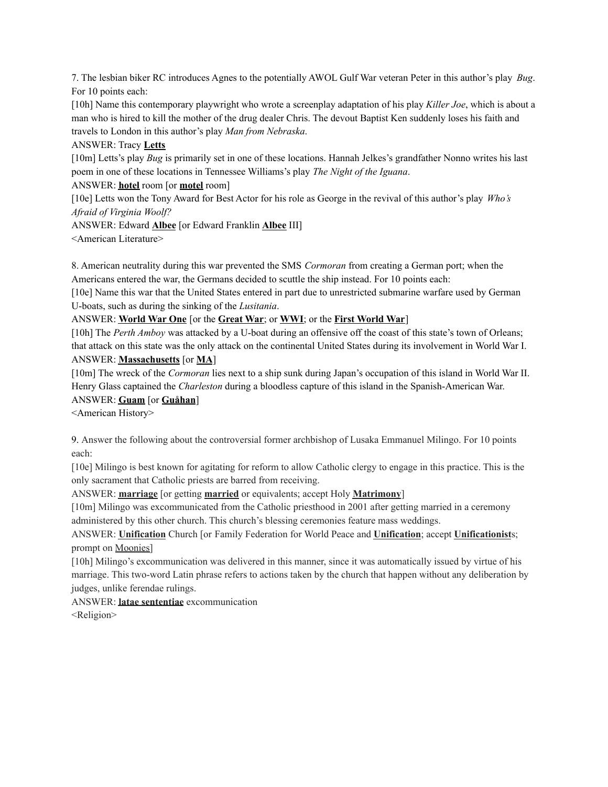7. The lesbian biker RC introduces Agnes to the potentially AWOL Gulf War veteran Peter in this author's play *Bug*. For 10 points each:

[10h] Name this contemporary playwright who wrote a screenplay adaptation of his play *Killer Joe*, which is about a man who is hired to kill the mother of the drug dealer Chris. The devout Baptist Ken suddenly loses his faith and travels to London in this author's play *Man from Nebraska*.

ANSWER: Tracy **Letts**

[10m] Letts's play *Bug* is primarily set in one of these locations. Hannah Jelkes's grandfather Nonno writes his last poem in one of these locations in Tennessee Williams's play *The Night of the Iguana*.

ANSWER: **hotel** room [or **motel** room]

[10e] Letts won the Tony Award for Best Actor for his role as George in the revival of this author's play *Who's Afraid of Virginia Woolf?*

ANSWER: Edward **Albee** [or Edward Franklin **Albee** III]

<American Literature>

8. American neutrality during this war prevented the SMS *Cormoran* from creating a German port; when the Americans entered the war, the Germans decided to scuttle the ship instead. For 10 points each:

[10e] Name this war that the United States entered in part due to unrestricted submarine warfare used by German U-boats, such as during the sinking of the *Lusitania*.

ANSWER: **World War One** [or the **Great War**; or **WWI**; or the **First World War**]

[10h] The *Perth Amboy* was attacked by a U-boat during an offensive off the coast of this state's town of Orleans; that attack on this state was the only attack on the continental United States during its involvement in World War I. ANSWER: **Massachusetts** [or **MA**]

[10m] The wreck of the *Cormoran* lies next to a ship sunk during Japan's occupation of this island in World War II. Henry Glass captained the *Charleston* during a bloodless capture of this island in the Spanish-American War.

# ANSWER: **Guam** [or **Guåhan**]

<American History>

9. Answer the following about the controversial former archbishop of Lusaka Emmanuel Milingo. For 10 points each:

[10e] Milingo is best known for agitating for reform to allow Catholic clergy to engage in this practice. This is the only sacrament that Catholic priests are barred from receiving.

ANSWER: **marriage** [or getting **married** or equivalents; accept Holy **Matrimony**]

[10m] Milingo was excommunicated from the Catholic priesthood in 2001 after getting married in a ceremony administered by this other church. This church's blessing ceremonies feature mass weddings.

ANSWER: **Unification** Church [or Family Federation for World Peace and **Unification**; accept **Unificationist**s; prompt on Moonies]

[10h] Milingo's excommunication was delivered in this manner, since it was automatically issued by virtue of his marriage. This two-word Latin phrase refers to actions taken by the church that happen without any deliberation by judges, unlike ferendae rulings.

ANSWER: **latae sententiae** excommunication

<Religion>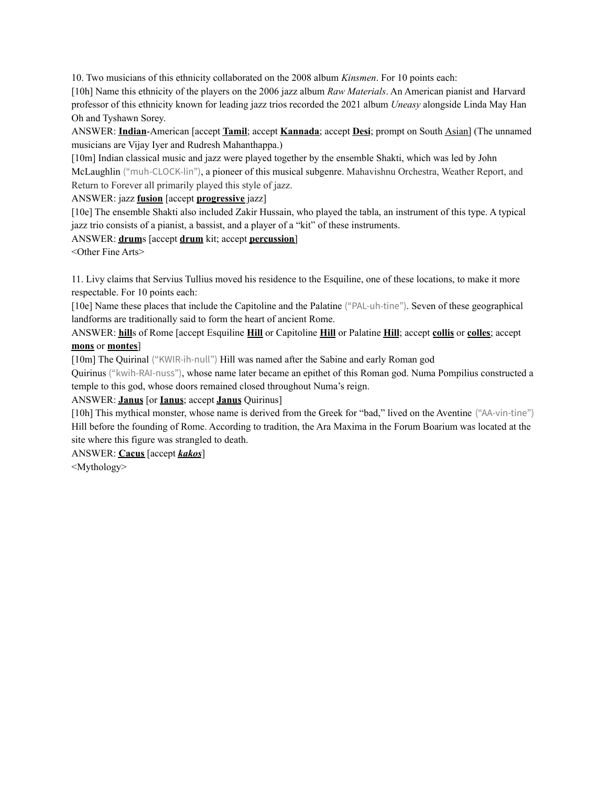10. Two musicians of this ethnicity collaborated on the 2008 album *Kinsmen*. For 10 points each:

[10h] Name this ethnicity of the players on the 2006 jazz album *Raw Materials*. An American pianist and Harvard professor of this ethnicity known for leading jazz trios recorded the 2021 album *Uneasy* alongside Linda May Han Oh and Tyshawn Sorey.

ANSWER: **Indian**-American [accept **Tamil**; accept **Kannada**; accept **Desi**; prompt on South Asian] (The unnamed musicians are Vijay Iyer and Rudresh Mahanthappa.)

[10m] Indian classical music and jazz were played together by the ensemble Shakti, which was led by John McLaughlin ("muh-CLOCK-lin"), a pioneer of this musical subgenre. Mahavishnu Orchestra, Weather Report, and Return to Forever all primarily played this style of jazz.

ANSWER: jazz **fusion** [accept **progressive** jazz]

[10e] The ensemble Shakti also included Zakir Hussain, who played the tabla, an instrument of this type. A typical jazz trio consists of a pianist, a bassist, and a player of a "kit" of these instruments.

ANSWER: **drum**s [accept **drum** kit; accept **percussion**]

<Other Fine Arts>

11. Livy claims that Servius Tullius moved his residence to the Esquiline, one of these locations, to make it more respectable. For 10 points each:

[10e] Name these places that include the Capitoline and the Palatine ("PAL-uh-tine"). Seven of these geographical landforms are traditionally said to form the heart of ancient Rome.

ANSWER: **hill**s of Rome [accept Esquiline **Hill** or Capitoline **Hill** or Palatine **Hill**; accept **collis** or **colles**; accept **mons** or **montes**]

[10m] The Quirinal ("KWIR-ih-null") Hill was named after the Sabine and early Roman god

Quirinus ("kwih-RAI-nuss"), whose name later became an epithet of this Roman god. Numa Pompilius constructed a temple to this god, whose doors remained closed throughout Numa's reign.

# ANSWER: **Janus** [or **Ianus**; accept **Janus** Quirinus]

[10h] This mythical monster, whose name is derived from the Greek for "bad," lived on the Aventine ("AA-vin-tine") Hill before the founding of Rome. According to tradition, the Ara Maxima in the Forum Boarium was located at the site where this figure was strangled to death.

ANSWER: **Cacus** [accept *kakos*]

<Mythology>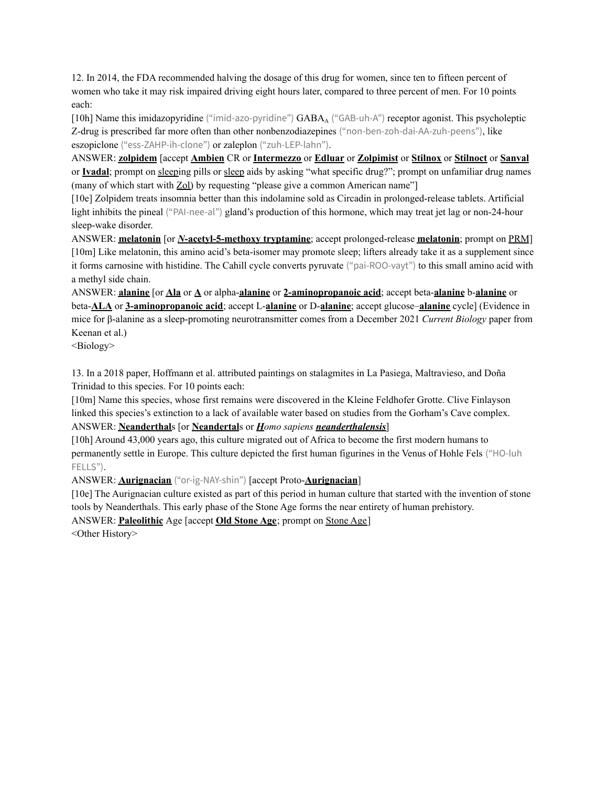12. In 2014, the FDA recommended halving the dosage of this drug for women, since ten to fifteen percent of women who take it may risk impaired driving eight hours later, compared to three percent of men. For 10 points each:

[10h] Name this imidazopyridine ("imid-azo-pyridine") GABA<sup>A</sup> ("GAB-uh-A") receptor agonist. This psycholeptic Z-drug is prescribed far more often than other nonbenzodiazepines ("non-ben-zoh-dai-AA-zuh-peens"), like eszopiclone ("ess-ZAHP-ih-clone") or zaleplon ("zuh-LEP-lahn").

ANSWER: **zolpidem** [accept **Ambien** CR or **Intermezzo** or **Edluar** or **Zolpimist** or **Stilnox** or **Stilnoct** or **Sanval** or **Ivadal**; prompt on sleeping pills or sleep aids by asking "what specific drug?"; prompt on unfamiliar drug names (many of which start with Zol) by requesting "please give a common American name"]

[10e] Zolpidem treats insomnia better than this indolamine sold as Circadin in prolonged-release tablets. Artificial light inhibits the pineal ("PAI-nee-al") gland's production of this hormone, which may treat jet lag or non-24-hour sleep-wake disorder.

ANSWER: **melatonin** [or *N***-acetyl-5-methoxy tryptamine**; accept prolonged-release **melatonin**; prompt on PRM] [10m] Like melatonin, this amino acid's beta-isomer may promote sleep; lifters already take it as a supplement since it forms carnosine with histidine. The Cahill cycle converts pyruvate ("pai-ROO-vayt") to this small amino acid with a methyl side chain.

ANSWER: **alanine** [or **Ala** or **A** or alpha-**alanine** or **2-aminopropanoic acid**; accept beta-**alanine** b-**alanine** or beta-**ALA** or **3-aminopropanoic acid**; accept L-**alanine** or D-**alanine**; accept glucose–**alanine** cycle] (Evidence in mice for β-alanine as a sleep-promoting neurotransmitter comes from a December 2021 *Current Biology* paper from Keenan et al.)

<Biology>

13. In a 2018 paper, Hoffmann et al. attributed paintings on stalagmites in La Pasiega, Maltravieso, and Doña Trinidad to this species. For 10 points each:

[10m] Name this species, whose first remains were discovered in the Kleine Feldhofer Grotte. Clive Finlayson linked this species's extinction to a lack of available water based on studies from the Gorham's Cave complex. ANSWER: **Neanderthal**s [or **Neandertal**s or *Homo sapiens neanderthalensis*]

[10h] Around 43,000 years ago, this culture migrated out of Africa to become the first modern humans to permanently settle in Europe. This culture depicted the first human figurines in the Venus of Hohle Fels ("HO-luh FELLS").

ANSWER: **Aurignacian** ("or-ig-NAY-shin") [accept Proto-**Aurignacian**]

[10e] The Aurignacian culture existed as part of this period in human culture that started with the invention of stone tools by Neanderthals. This early phase of the Stone Age forms the near entirety of human prehistory.

ANSWER: **Paleolithic** Age [accept **Old Stone Age**; prompt on Stone Age]

<Other History>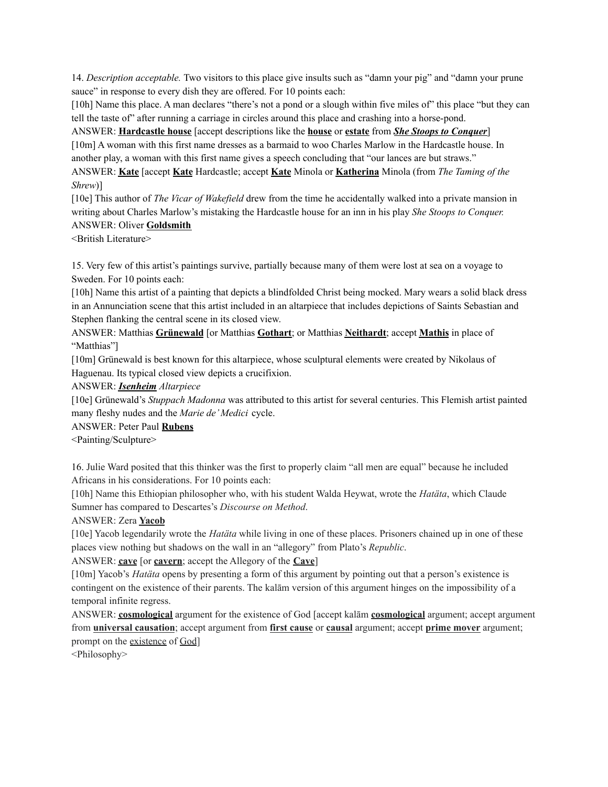14. *Description acceptable.* Two visitors to this place give insults such as "damn your pig" and "damn your prune sauce" in response to every dish they are offered. For 10 points each:

[10h] Name this place. A man declares "there's not a pond or a slough within five miles of" this place "but they can tell the taste of" after running a carriage in circles around this place and crashing into a horse-pond.

# ANSWER: **Hardcastle house** [accept descriptions like the **house** or **estate** from *She Stoops to Conquer*]

[10m] A woman with this first name dresses as a barmaid to woo Charles Marlow in the Hardcastle house. In another play, a woman with this first name gives a speech concluding that "our lances are but straws."

ANSWER: **Kate** [accept **Kate** Hardcastle; accept **Kate** Minola or **Katherina** Minola (from *The Taming of the Shrew*)]

[10e] This author of *The Vicar of Wakefield* drew from the time he accidentally walked into a private mansion in writing about Charles Marlow's mistaking the Hardcastle house for an inn in his play *She Stoops to Conquer.* ANSWER: Oliver **Goldsmith**

<British Literature>

15. Very few of this artist's paintings survive, partially because many of them were lost at sea on a voyage to Sweden. For 10 points each:

[10h] Name this artist of a painting that depicts a blindfolded Christ being mocked. Mary wears a solid black dress in an Annunciation scene that this artist included in an altarpiece that includes depictions of Saints Sebastian and Stephen flanking the central scene in its closed view.

ANSWER: Matthias **Grünewald** [or Matthias **Gothart**; or Matthias **Neithardt**; accept **Mathis** in place of "Matthias"]

[10m] Grünewald is best known for this altarpiece, whose sculptural elements were created by Nikolaus of Haguenau. Its typical closed view depicts a crucifixion.

ANSWER: *Isenheim Altarpiece*

[10e] Grünewald's *Stuppach Madonna* was attributed to this artist for several centuries. This Flemish artist painted many fleshy nudes and the *Marie de' Medici* cycle.

ANSWER: Peter Paul **Rubens**

<Painting/Sculpture>

16. Julie Ward posited that this thinker was the first to properly claim "all men are equal" because he included Africans in his considerations. For 10 points each:

[10h] Name this Ethiopian philosopher who, with his student Walda Heywat, wrote the *Hatäta*, which Claude Sumner has compared to Descartes's *Discourse on Method*.

# ANSWER: Zera **Yacob**

[10e] Yacob legendarily wrote the *Hatäta* while living in one of these places. Prisoners chained up in one of these places view nothing but shadows on the wall in an "allegory" from Plato's *Republic*.

ANSWER: **cave** [or **cavern**; accept the Allegory of the **Cave**]

[10m] Yacob's *Hatäta* opens by presenting a form of this argument by pointing out that a person's existence is contingent on the existence of their parents. The kalām version of this argument hinges on the impossibility of a temporal infinite regress.

ANSWER: **cosmological** argument for the existence of God [accept kalām **cosmological** argument; accept argument from **universal causation**; accept argument from **first cause** or **causal** argument; accept **prime mover** argument; prompt on the existence of God]

<Philosophy>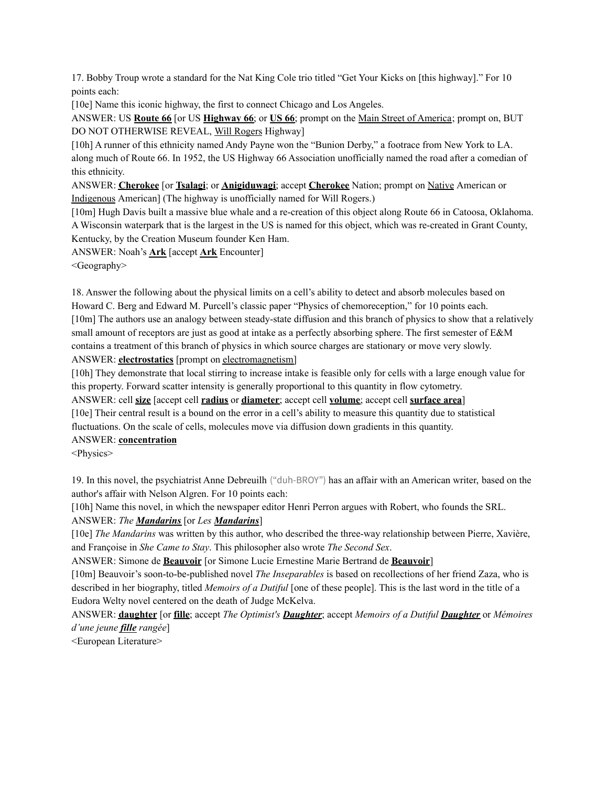17. Bobby Troup wrote a standard for the Nat King Cole trio titled "Get Your Kicks on [this highway]." For 10 points each:

[10e] Name this iconic highway, the first to connect Chicago and Los Angeles.

ANSWER: US **Route 66** [or US **Highway 66**; or **US 66**; prompt on the Main Street of America; prompt on, BUT DO NOT OTHERWISE REVEAL, Will Rogers Highway]

[10h] A runner of this ethnicity named Andy Payne won the "Bunion Derby," a footrace from New York to LA. along much of Route 66. In 1952, the US Highway 66 Association unofficially named the road after a comedian of this ethnicity.

ANSWER: **Cherokee** [or **Tsalagi**; or **Anigiduwagi**; accept **Cherokee** Nation; prompt on Native American or Indigenous American] (The highway is unofficially named for Will Rogers.)

[10m] Hugh Davis built a massive blue whale and a re-creation of this object along Route 66 in Catoosa, Oklahoma. A Wisconsin waterpark that is the largest in the US is named for this object, which was re-created in Grant County, Kentucky, by the Creation Museum founder Ken Ham.

ANSWER: Noah's **Ark** [accept **Ark** Encounter]

<Geography>

18. Answer the following about the physical limits on a cell's ability to detect and absorb molecules based on Howard C. Berg and Edward M. Purcell's classic paper "Physics of chemoreception," for 10 points each. [10m] The authors use an analogy between steady-state diffusion and this branch of physics to show that a relatively small amount of receptors are just as good at intake as a perfectly absorbing sphere. The first semester of E&M contains a treatment of this branch of physics in which source charges are stationary or move very slowly. ANSWER: **electrostatics** [prompt on electromagnetism]

[10h] They demonstrate that local stirring to increase intake is feasible only for cells with a large enough value for this property. Forward scatter intensity is generally proportional to this quantity in flow cytometry.

ANSWER: cell **size** [accept cell **radius** or **diameter**; accept cell **volume**; accept cell **surface area**]

[10e] Their central result is a bound on the error in a cell's ability to measure this quantity due to statistical fluctuations. On the scale of cells, molecules move via diffusion down gradients in this quantity.

# ANSWER: **concentration**

<Physics>

19. In this novel, the psychiatrist Anne Debreuilh ("duh-BROY") has an affair with an American writer, based on the author's affair with Nelson Algren. For 10 points each:

[10h] Name this novel, in which the newspaper editor Henri Perron argues with Robert, who founds the SRL.

# ANSWER: *The Mandarins* [or *Les Mandarins*]

[10e] *The Mandarins* was written by this author, who described the three-way relationship between Pierre, Xavière, and Françoise in *She Came to Stay*. This philosopher also wrote *The Second Sex*.

ANSWER: Simone de **Beauvoir** [or Simone Lucie Ernestine Marie Bertrand de **Beauvoir**]

[10m] Beauvoir's soon-to-be-published novel *The Inseparables* is based on recollections of her friend Zaza, who is described in her biography, titled *Memoirs of a Dutiful* [one of these people]. This is the last word in the title of a Eudora Welty novel centered on the death of Judge McKelva.

ANSWER: **daughter** [or **fille**; accept *The Optimist's Daughter*; accept *Memoirs of a Dutiful Daughter* or *Mémoires d'une jeune fille rangée*]

<European Literature>